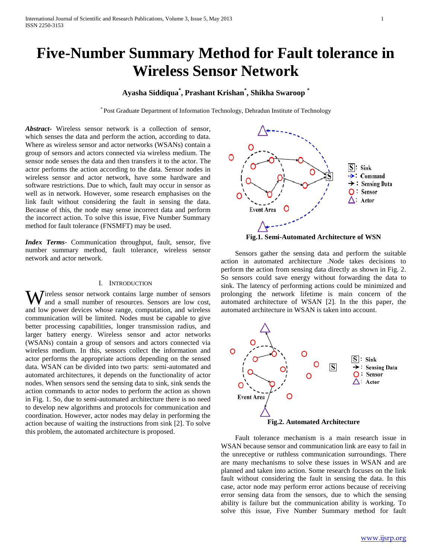# **Five-Number Summary Method for Fault tolerance in Wireless Sensor Network**

# **Ayasha Siddiqua\* , Prashant Krishan\* , Shikha Swaroop \***

\* Post Graduate Department of Information Technology, Dehradun Institute of Technology

*Abstract***-** Wireless sensor network is a collection of sensor, which senses the data and perform the action, according to data. Where as wireless sensor and actor networks (WSANs) contain a group of sensors and actors connected via wireless medium. The sensor node senses the data and then transfers it to the actor. The actor performs the action according to the data. Sensor nodes in wireless sensor and actor network, have some hardware and software restrictions. Due to which, fault may occur in sensor as well as in network. However, some research emphasises on the link fault without considering the fault in sensing the data. Because of this, the node may sense incorrect data and perform the incorrect action. To solve this issue, Five Number Summary method for fault tolerance (FNSMFT) may be used.

*Index Terms*- Communication throughput, fault, sensor, five number summary method, fault tolerance, wireless sensor network and actor network.

# I. INTRODUCTION

Wireless sensor network contains large number of sensors and a small number of resources. Sensors are low cost, and a small number of resources. Sensors are low cost, and low power devices whose range, computation, and wireless communication will be limited. Nodes must be capable to give better processing capabilities, longer transmission radius, and larger battery energy. Wireless sensor and actor networks (WSANs) contain a group of sensors and actors connected via wireless medium. In this, sensors collect the information and actor performs the appropriate actions depending on the sensed data. WSAN can be divided into two parts: semi-automated and automated architectures, it depends on the functionality of actor nodes. When sensors send the sensing data to sink, sink sends the action commands to actor nodes to perform the action as shown in Fig. 1. So, due to semi-automated architecture there is no need to develop new algorithms and protocols for communication and coordination. However, actor nodes may delay in performing the action because of waiting the instructions from sink [2]. To solve this problem, the automated architecture is proposed.



**Fig.1. Semi-Automated Architecture of WSN**

 Sensors gather the sensing data and perform the suitable action in automated architecture .Node takes decisions to perform the action from sensing data directly as shown in Fig. 2. So sensors could save energy without forwarding the data to sink. The latency of performing actions could be minimized and prolonging the network lifetime is main concern of the automated architecture of WSAN [2]. In the this paper, the automated architecture in WSAN is taken into account.



 Fault tolerance mechanism is a main research issue in WSAN because sensor and communication link are easy to fail in the unreceptive or ruthless communication surroundings. There are many mechanisms to solve these issues in WSAN and are planned and taken into action. Some research focuses on the link fault without considering the fault in sensing the data. In this case, actor node may perform error actions because of receiving error sensing data from the sensors, due to which the sensing ability is failure but the communication ability is working. To solve this issue, Five Number Summary method for fault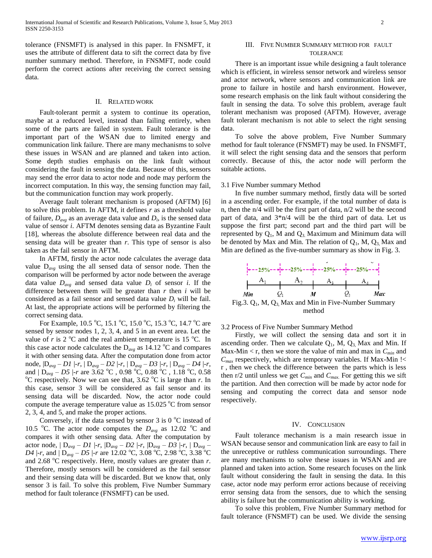tolerance (FNSMFT) is analysed in this paper. In FNSMFT, it uses the attribute of different data to sift the correct data by five number summary method. Therefore, in FNSMFT, node could perform the correct actions after receiving the correct sensing data.

## II. RELATED WORK

 Fault-tolerant permit a system to continue its operation, maybe at a reduced level, instead than failing entirely, when some of the parts are failed in system. Fault tolerance is the important part of the WSAN due to limited energy and communication link failure. There are many mechanisms to solve these issues in WSAN and are planned and taken into action. Some depth studies emphasis on the link fault without considering the fault in sensing the data. Because of this, sensors may send the error data to actor node and node may perform the incorrect computation. In this way, the sensing function may fail, but the communication function may work properly.

 Average fault tolerant mechanism is proposed (AFTM) [6] to solve this problem. In AFTM, it defines *r* as a threshold value of failure,  $D_{avg}$  as an average data value and  $D_i$ , is the sensed data value of sensor *i*. AFTM denotes sensing data as Byzantine Fault [18], whereas the absolute difference between real data and the sensing data will be greater than *r*. This type of sensor is also taken as the fail sensor in AFTM.

 In AFTM, firstly the actor node calculates the average data value D*avg* using the all sensed data of sensor node. Then the comparison will be performed by actor node between the average data value  $D_{avg}$  and sensed data value  $D_i$  of sensor *i*. If the difference between them will be greater than  $r$  then  $i$  will be considered as a fail sensor and sensed data value *D<sup>i</sup>* will be fail. At last, the appropriate actions will be performed by filtering the correct sensing data.

For Example, 10.5 °C, 15.1 °C, 15.0 °C, 15.3 °C, 14.7 °C are sensed by sensor nodes 1, 2, 3, 4, and 5 in an event area. Let the value of  $r$  is 2  $\mathrm{C}^{\circ}$  and the real ambient temperature is 15  $\mathrm{C}^{\circ}$ . In this case actor node calculates the  $D_{avg}$  as 14.12 <sup>o</sup>C and compares it with other sensing data. After the computation done from actor node, |D*avg* – *D1* |-*r*, | D*avg* – *D2* |-*r*, | D*avg* – *D3* |-*r*, | D*avg* – *D4* |-*r*, and  $|D_{avg} - D5|$ -*r* are 3.62 °C, 0.98 °C, 0.88 °C, 1.18 °C, 0.58  $^{\circ}$ C respectively. Now we can see that, 3.62  $^{\circ}$ C is large than *r*. In this case, sensor 3 will be considered as fail sensor and its sensing data will be discarded. Now, the actor node could compute the average temperature value as  $15.025\text{ °C}$  from sensor 2, 3, 4, and 5, and make the proper actions.

Conversely, if the data sensed by sensor  $3$  is  $0^{\circ}$ C instead of 10.5 <sup>o</sup>C. The actor node computes the  $D_{avg}$  as 12.02 <sup>o</sup>C and compares it with other sensing data. After the computation by actor node, | D*avg* – *D1* |-*r*, |D*avg* – *D2* |-*r*, |D*avg* – *D3* |-*r*, | D*avg* – *D4* |-*r*, and  $D_{avg} - D5$  |-*r* are 12.02 °C, 3.08 °C, 2.98 °C, 3.38 °C and 2.68  $^{\circ}$ C respectively. Here, mostly values are greater than *r*. Therefore, mostly sensors will be considered as the fail sensor and their sensing data will be discarded. But we know that, only sensor 3 is fail. To solve this problem, Five Number Summary method for fault tolerance (FNSMFT) can be used.

# III. FIVE NUMBER SUMMARY METHOD FOR FAULT TOLERANCE

 There is an important issue while designing a fault tolerance which is efficient, in wireless sensor network and wireless sensor and actor network, where sensors and communication link are prone to failure in hostile and harsh environment. However, some research emphasis on the link fault without considering the fault in sensing the data. To solve this problem, average fault tolerant mechanism was proposed (AFTM). However, average fault tolerant mechanism is not able to select the right sensing data.

 To solve the above problem, Five Number Summary method for fault tolerance (FNSMFT) may be used. In FNSMFT, it will select the right sensing data and the sensors that perform correctly. Because of this, the actor node will perform the suitable actions.

#### 3.1 Five Number summary Method

 In five number summary method, firstly data will be sorted in a ascending order. For example, if the total number of data is n, then the n/4 will be the first part of data, n/2 will be the second part of data, and 3\*n/4 will be the third part of data. Let us suppose the first part; second part and the third part will be represented by  $Q_1$ , M and  $Q_3$  Maximum and Minimum data will be denoted by Max and Min. The relation of  $Q_1$ , M,  $Q_3$ , Max and Min are defined as the five-number summary as show in Fig. 3.



3.2 Process of Five Number Summary Method

 Firstly, we will collect the sensing data and sort it in ascending order. Then we calculate  $Q_1$ , M,  $Q_3$  Max and Min. If Max-Min  $\lt r$ , then we store the value of min and max in  $C_{min}$  and *Cmax* respectively, which are temporary variables. If Max-Min !< r , then we check the difference between the parts which is less then r/2 until unless we get *Cmin* and *Cmax.* For getting this we sift the partition. And then correction will be made by actor node for sensing and computing the correct data and sensor node respectively.

# IV. CONCLUSION

 Fault tolerance mechanism is a main research issue in WSAN because sensor and communication link are easy to fail in the unreceptive or ruthless communication surroundings. There are many mechanisms to solve these issues in WSAN and are planned and taken into action. Some research focuses on the link fault without considering the fault in sensing the data. In this case, actor node may perform error actions because of receiving error sensing data from the sensors, due to which the sensing ability is failure but the communication ability is working.

 To solve this problem, Five Number Summary method for fault tolerance (FNSMFT) can be used. We divide the sensing